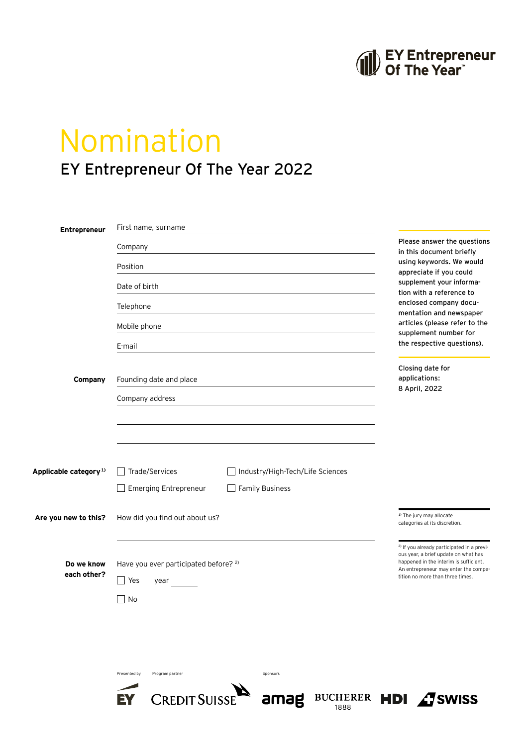## EY Entrepreneur<br>
Of The Year

## Nomination EY Entrepreneur Of The Year 2022

| Entrepreneur                      | First name, surname                                         |                                                                                                                                         |  |
|-----------------------------------|-------------------------------------------------------------|-----------------------------------------------------------------------------------------------------------------------------------------|--|
|                                   | Company                                                     | Please answer the questions<br>in this document briefly                                                                                 |  |
|                                   | Position                                                    | using keywords. We would<br>appreciate if you could                                                                                     |  |
|                                   | Date of birth                                               | supplement your informa-<br>tion with a reference to                                                                                    |  |
|                                   | Telephone                                                   | enclosed company docu-<br>mentation and newspaper                                                                                       |  |
|                                   | Mobile phone                                                | articles (please refer to the<br>supplement number for                                                                                  |  |
|                                   | E-mail                                                      | the respective questions).                                                                                                              |  |
| Company                           | Founding date and place                                     | Closing date for<br>applications:<br>8 April, 2022                                                                                      |  |
|                                   | Company address                                             |                                                                                                                                         |  |
|                                   |                                                             |                                                                                                                                         |  |
|                                   |                                                             |                                                                                                                                         |  |
|                                   |                                                             |                                                                                                                                         |  |
| Applicable category <sup>1)</sup> | Trade/Services<br>Industry/High-Tech/Life Sciences          |                                                                                                                                         |  |
|                                   | Emerging Entrepreneur<br><b>Family Business</b>             |                                                                                                                                         |  |
| Are you new to this?              | How did you find out about us?                              | <sup>1)</sup> The jury may allocate<br>categories at its discretion.                                                                    |  |
|                                   | Have you ever participated before? 2)                       | <sup>2)</sup> If you already participated in a previ-<br>ous year, a brief update on what has<br>happened in the interim is sufficient. |  |
| Do we know<br>each other?         | Yes<br>year                                                 | An entrepreneur may enter the compe-<br>tition no more than three times.                                                                |  |
|                                   | No                                                          |                                                                                                                                         |  |
|                                   |                                                             |                                                                                                                                         |  |
|                                   |                                                             |                                                                                                                                         |  |
|                                   |                                                             |                                                                                                                                         |  |
|                                   | Presented by<br>Program partner<br>Sponsors                 |                                                                                                                                         |  |
|                                   | CREDIT SUISSE amag BUCHERER HDI ASWISS<br><b>EY</b><br>1888 |                                                                                                                                         |  |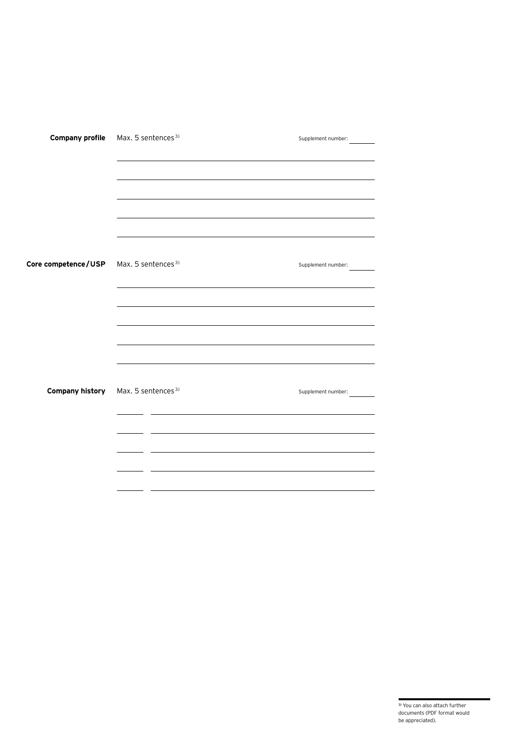| <b>Company profile</b> | Max. 5 sentences <sup>3)</sup>                 | Supplement number:                                                                                                    |
|------------------------|------------------------------------------------|-----------------------------------------------------------------------------------------------------------------------|
|                        |                                                |                                                                                                                       |
|                        |                                                |                                                                                                                       |
|                        |                                                |                                                                                                                       |
|                        |                                                |                                                                                                                       |
|                        |                                                |                                                                                                                       |
|                        |                                                |                                                                                                                       |
| Core competence/USP    | Max. 5 sentences <sup>3)</sup>                 | Supplement number:                                                                                                    |
|                        |                                                | and the control of the control of the control of the control of the control of the control of the control of the      |
|                        |                                                |                                                                                                                       |
|                        |                                                | <u> 1989 - Johann Stoff, deutscher Stoff, der Stoff, der Stoff, der Stoff, der Stoff, der Stoff, der Stoff, der S</u> |
|                        |                                                |                                                                                                                       |
|                        |                                                |                                                                                                                       |
|                        |                                                |                                                                                                                       |
|                        | Company history Max. 5 sentences <sup>3)</sup> | Supplement number:                                                                                                    |
|                        |                                                |                                                                                                                       |
|                        |                                                |                                                                                                                       |
|                        |                                                |                                                                                                                       |
|                        |                                                |                                                                                                                       |
|                        |                                                |                                                                                                                       |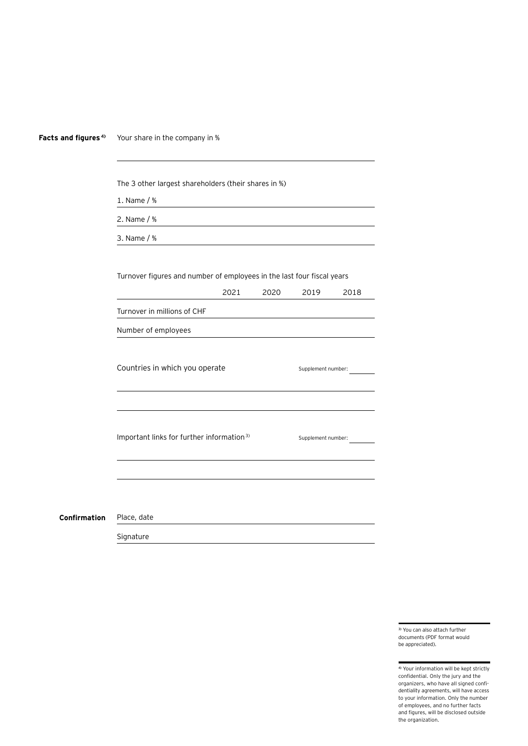| Facts and figures <sup>4)</sup> | Your share in the company in %                                         |      |      |                    |      |  |  |
|---------------------------------|------------------------------------------------------------------------|------|------|--------------------|------|--|--|
|                                 |                                                                        |      |      |                    |      |  |  |
|                                 | The 3 other largest shareholders (their shares in %)                   |      |      |                    |      |  |  |
|                                 | 1. Name / %                                                            |      |      |                    |      |  |  |
|                                 | 2. Name / %                                                            |      |      |                    |      |  |  |
|                                 | 3. Name / %                                                            |      |      |                    |      |  |  |
|                                 |                                                                        |      |      |                    |      |  |  |
|                                 | Turnover figures and number of employees in the last four fiscal years |      |      |                    |      |  |  |
|                                 |                                                                        | 2021 | 2020 | 2019               | 2018 |  |  |
|                                 | Turnover in millions of CHF                                            |      |      |                    |      |  |  |
|                                 | Number of employees                                                    |      |      |                    |      |  |  |
|                                 | Countries in which you operate                                         |      |      | Supplement number: |      |  |  |
|                                 | Important links for further information <sup>3)</sup>                  |      |      | Supplement number: |      |  |  |
|                                 |                                                                        |      |      |                    |      |  |  |
| Confirmation                    | Place, date                                                            |      |      |                    |      |  |  |
|                                 | Signature                                                              |      |      |                    |      |  |  |

3) You can also attach further documents (PDF format would be appreciated).

4) Your information will be kept strictly confidential. Only the jury and the organizers, who have all signed confidentiality agreements, will have access to your information. Only the number of employees, and no further facts and figures, will be disclosed outside the organization.